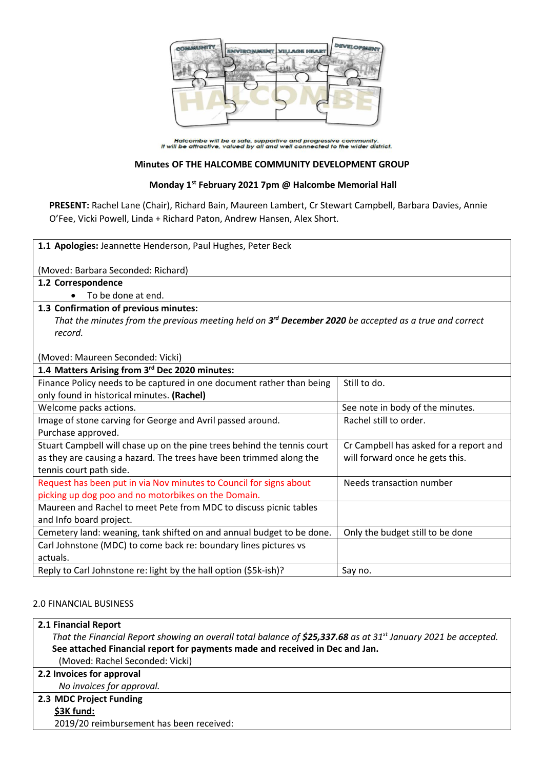

Halcombe will be a safe, supportive and progressive community.<br>It will be attractive, valued by all and well connected to the wider district.

# **Minutes OF THE HALCOMBE COMMUNITY DEVELOPMENT GROUP**

## **Monday 1st February 2021 7pm @ Halcombe Memorial Hall**

**PRESENT:** Rachel Lane (Chair), Richard Bain, Maureen Lambert, Cr Stewart Campbell, Barbara Davies, Annie O'Fee, Vicki Powell, Linda + Richard Paton, Andrew Hansen, Alex Short.

| 1.1 Apologies: Jeannette Henderson, Paul Hughes, Peter Beck                                              |                                        |  |
|----------------------------------------------------------------------------------------------------------|----------------------------------------|--|
| (Moved: Barbara Seconded: Richard)                                                                       |                                        |  |
| 1.2 Correspondence                                                                                       |                                        |  |
| To be done at end.                                                                                       |                                        |  |
| 1.3 Confirmation of previous minutes:                                                                    |                                        |  |
| That the minutes from the previous meeting held on $3rd$ December 2020 be accepted as a true and correct |                                        |  |
| record.                                                                                                  |                                        |  |
|                                                                                                          |                                        |  |
| (Moved: Maureen Seconded: Vicki)                                                                         |                                        |  |
| 1.4 Matters Arising from 3rd Dec 2020 minutes:                                                           |                                        |  |
| Finance Policy needs to be captured in one document rather than being                                    | Still to do.                           |  |
| only found in historical minutes. (Rachel)                                                               |                                        |  |
| Welcome packs actions.                                                                                   | See note in body of the minutes.       |  |
| Image of stone carving for George and Avril passed around.                                               | Rachel still to order.                 |  |
| Purchase approved.                                                                                       |                                        |  |
| Stuart Campbell will chase up on the pine trees behind the tennis court                                  | Cr Campbell has asked for a report and |  |
| as they are causing a hazard. The trees have been trimmed along the                                      | will forward once he gets this.        |  |
| tennis court path side.                                                                                  |                                        |  |
| Request has been put in via Nov minutes to Council for signs about                                       | Needs transaction number               |  |
| picking up dog poo and no motorbikes on the Domain.                                                      |                                        |  |
| Maureen and Rachel to meet Pete from MDC to discuss picnic tables                                        |                                        |  |
| and Info board project.                                                                                  |                                        |  |
| Cemetery land: weaning, tank shifted on and annual budget to be done.                                    | Only the budget still to be done       |  |
| Carl Johnstone (MDC) to come back re: boundary lines pictures vs                                         |                                        |  |
| actuals.                                                                                                 |                                        |  |
| Reply to Carl Johnstone re: light by the hall option (\$5k-ish)?                                         | Say no.                                |  |

# 2.0 FINANCIAL BUSINESS

### **2.1 Financial Report**

*That the Financial Report showing an overall total balance of \$25,337.68 as at 31 st January 2021 be accepted.* **See attached Financial report for payments made and received in Dec and Jan.** (Moved: Rachel Seconded: Vicki)

### **2.2 Invoices for approval**

*No invoices for approval.*

# **2.3 MDC Project Funding**

**\$3K fund:**

2019/20 reimbursement has been received: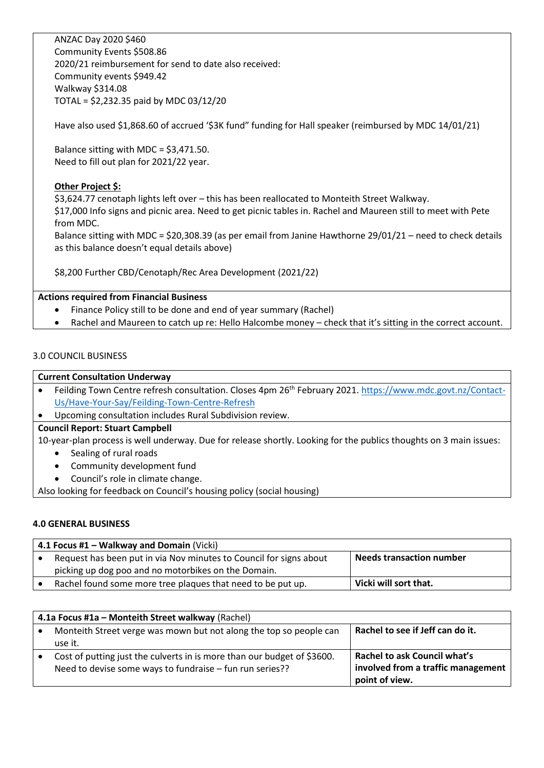ANZAC Day 2020 \$460 Community Events \$508.86 2020/21 reimbursement for send to date also received: Community events \$949.42 Walkway \$314.08 TOTAL = \$2,232.35 paid by MDC 03/12/20

Have also used \$1,868.60 of accrued '\$3K fund" funding for Hall speaker (reimbursed by MDC 14/01/21)

Balance sitting with MDC = \$3,471.50. Need to fill out plan for 2021/22 year.

# **Other Project \$:**

\$3,624.77 cenotaph lights left over – this has been reallocated to Monteith Street Walkway. \$17,000 Info signs and picnic area. Need to get picnic tables in. Rachel and Maureen still to meet with Pete from MDC.

Balance sitting with MDC = \$20,308.39 (as per email from Janine Hawthorne 29/01/21 – need to check details as this balance doesn't equal details above)

\$8,200 Further CBD/Cenotaph/Rec Area Development (2021/22)

# **Actions required from Financial Business**

- Finance Policy still to be done and end of year summary (Rachel)
- Rachel and Maureen to catch up re: Hello Halcombe money check that it's sitting in the correct account.

# 3.0 COUNCIL BUSINESS

### **Current Consultation Underway**

- Feilding Town Centre refresh consultation. Closes 4pm 26<sup>th</sup> February 2021[. https://www.mdc.govt.nz/Contact-](https://www.mdc.govt.nz/Contact-Us/Have-Your-Say/Feilding-Town-Centre-Refresh)[Us/Have-Your-Say/Feilding-Town-Centre-Refresh](https://www.mdc.govt.nz/Contact-Us/Have-Your-Say/Feilding-Town-Centre-Refresh)
- Upcoming consultation includes Rural Subdivision review.

### **Council Report: Stuart Campbell**

10-year-plan process is well underway. Due for release shortly. Looking for the publics thoughts on 3 main issues:

- Sealing of rural roads
- Community development fund
- Council's role in climate change.

Also looking for feedback on Council's housing policy (social housing)

### **4.0 GENERAL BUSINESS**

| 4.1 Focus #1 – Walkway and Domain (Vicki) |                                                                    |                                 |
|-------------------------------------------|--------------------------------------------------------------------|---------------------------------|
|                                           | Request has been put in via Nov minutes to Council for signs about | <b>Needs transaction number</b> |
|                                           | picking up dog poo and no motorbikes on the Domain.                |                                 |
|                                           | Rachel found some more tree plaques that need to be put up.        | Vicki will sort that.           |

| 4.1a Focus #1a - Monteith Street walkway (Rachel) |                                                                         |                                     |
|---------------------------------------------------|-------------------------------------------------------------------------|-------------------------------------|
|                                                   | Monteith Street verge was mown but not along the top so people can      | Rachel to see if Jeff can do it.    |
|                                                   | use it.                                                                 |                                     |
|                                                   | Cost of putting just the culverts in is more than our budget of \$3600. | <b>Rachel to ask Council what's</b> |
|                                                   | Need to devise some ways to fundraise – fun run series??                | involved from a traffic management  |
|                                                   |                                                                         | point of view.                      |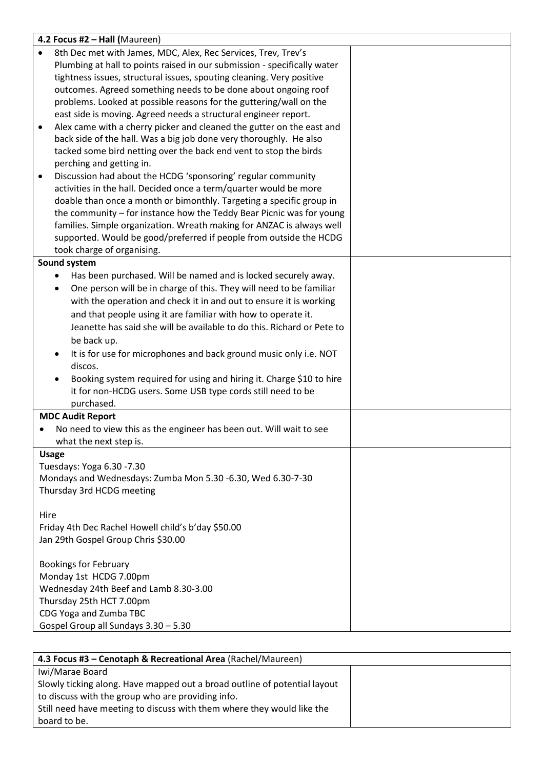|           | 4.2 Focus #2 - Hall (Maureen)                                                     |  |
|-----------|-----------------------------------------------------------------------------------|--|
| $\bullet$ | 8th Dec met with James, MDC, Alex, Rec Services, Trev, Trev's                     |  |
|           | Plumbing at hall to points raised in our submission - specifically water          |  |
|           | tightness issues, structural issues, spouting cleaning. Very positive             |  |
|           | outcomes. Agreed something needs to be done about ongoing roof                    |  |
|           | problems. Looked at possible reasons for the guttering/wall on the                |  |
|           | east side is moving. Agreed needs a structural engineer report.                   |  |
| $\bullet$ | Alex came with a cherry picker and cleaned the gutter on the east and             |  |
|           | back side of the hall. Was a big job done very thoroughly. He also                |  |
|           | tacked some bird netting over the back end vent to stop the birds                 |  |
|           | perching and getting in.                                                          |  |
| ٠         | Discussion had about the HCDG 'sponsoring' regular community                      |  |
|           | activities in the hall. Decided once a term/quarter would be more                 |  |
|           | doable than once a month or bimonthly. Targeting a specific group in              |  |
|           | the community - for instance how the Teddy Bear Picnic was for young              |  |
|           | families. Simple organization. Wreath making for ANZAC is always well             |  |
|           | supported. Would be good/preferred if people from outside the HCDG                |  |
|           | took charge of organising.                                                        |  |
|           | Sound system                                                                      |  |
|           | Has been purchased. Will be named and is locked securely away.                    |  |
|           | One person will be in charge of this. They will need to be familiar<br>$\bullet$  |  |
|           | with the operation and check it in and out to ensure it is working                |  |
|           | and that people using it are familiar with how to operate it.                     |  |
|           | Jeanette has said she will be available to do this. Richard or Pete to            |  |
|           | be back up.                                                                       |  |
|           | It is for use for microphones and back ground music only i.e. NOT                 |  |
|           | discos.                                                                           |  |
|           | Booking system required for using and hiring it. Charge \$10 to hire<br>$\bullet$ |  |
|           | it for non-HCDG users. Some USB type cords still need to be                       |  |
|           | purchased.                                                                        |  |
|           | <b>MDC Audit Report</b>                                                           |  |
|           | No need to view this as the engineer has been out. Will wait to see               |  |
|           | what the next step is.                                                            |  |
|           | <b>Usage</b>                                                                      |  |
|           | Tuesdays: Yoga 6.30 -7.30                                                         |  |
|           | Mondays and Wednesdays: Zumba Mon 5.30 -6.30, Wed 6.30-7-30                       |  |
|           | Thursday 3rd HCDG meeting                                                         |  |
|           |                                                                                   |  |
| Hire      |                                                                                   |  |
|           | Friday 4th Dec Rachel Howell child's b'day \$50.00                                |  |
|           | Jan 29th Gospel Group Chris \$30.00                                               |  |
|           |                                                                                   |  |
|           | <b>Bookings for February</b>                                                      |  |
|           | Monday 1st HCDG 7.00pm<br>Wednesday 24th Beef and Lamb 8.30-3.00                  |  |
|           | Thursday 25th HCT 7.00pm                                                          |  |
|           | CDG Yoga and Zumba TBC                                                            |  |
|           | Gospel Group all Sundays 3.30 - 5.30                                              |  |
|           |                                                                                   |  |

| 4.3 Focus #3 - Cenotaph & Recreational Area (Rachel/Maureen)              |  |
|---------------------------------------------------------------------------|--|
| Iwi/Marae Board                                                           |  |
| Slowly ticking along. Have mapped out a broad outline of potential layout |  |
| to discuss with the group who are providing info.                         |  |
| Still need have meeting to discuss with them where they would like the    |  |
| board to be.                                                              |  |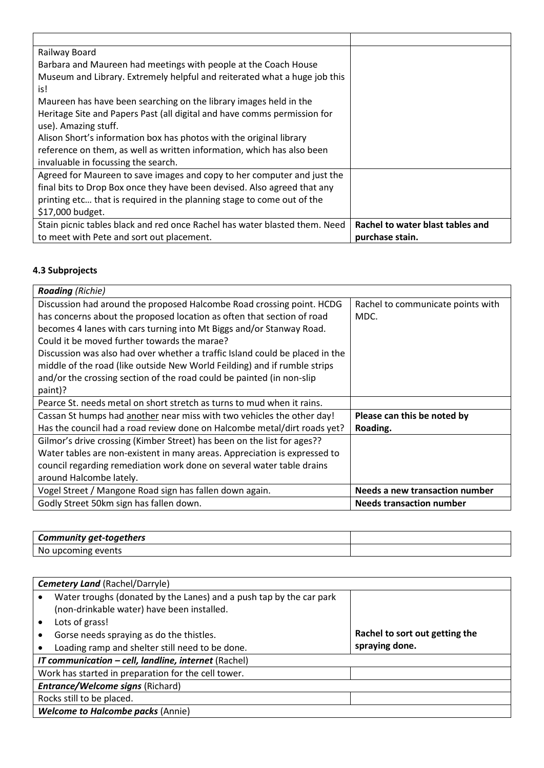| Railway Board                                                              |                                  |
|----------------------------------------------------------------------------|----------------------------------|
| Barbara and Maureen had meetings with people at the Coach House            |                                  |
| Museum and Library. Extremely helpful and reiterated what a huge job this  |                                  |
| is!                                                                        |                                  |
| Maureen has have been searching on the library images held in the          |                                  |
| Heritage Site and Papers Past (all digital and have comms permission for   |                                  |
| use). Amazing stuff.                                                       |                                  |
| Alison Short's information box has photos with the original library        |                                  |
| reference on them, as well as written information, which has also been     |                                  |
| invaluable in focussing the search.                                        |                                  |
| Agreed for Maureen to save images and copy to her computer and just the    |                                  |
| final bits to Drop Box once they have been devised. Also agreed that any   |                                  |
| printing etc that is required in the planning stage to come out of the     |                                  |
| \$17,000 budget.                                                           |                                  |
| Stain picnic tables black and red once Rachel has water blasted them. Need | Rachel to water blast tables and |
| to meet with Pete and sort out placement.                                  | purchase stain.                  |

# **4.3 Subprojects**

| <b>Roading</b> (Richie)                                                      |                                       |
|------------------------------------------------------------------------------|---------------------------------------|
| Discussion had around the proposed Halcombe Road crossing point. HCDG        | Rachel to communicate points with     |
| has concerns about the proposed location as often that section of road       | MDC.                                  |
| becomes 4 lanes with cars turning into Mt Biggs and/or Stanway Road.         |                                       |
| Could it be moved further towards the marae?                                 |                                       |
| Discussion was also had over whether a traffic Island could be placed in the |                                       |
| middle of the road (like outside New World Feilding) and if rumble strips    |                                       |
| and/or the crossing section of the road could be painted (in non-slip        |                                       |
| paint)?                                                                      |                                       |
| Pearce St. needs metal on short stretch as turns to mud when it rains.       |                                       |
| Cassan St humps had another near miss with two vehicles the other day!       | Please can this be noted by           |
| Has the council had a road review done on Halcombe metal/dirt roads yet?     | Roading.                              |
| Gilmor's drive crossing (Kimber Street) has been on the list for ages??      |                                       |
| Water tables are non-existent in many areas. Appreciation is expressed to    |                                       |
| council regarding remediation work done on several water table drains        |                                       |
| around Halcombe lately.                                                      |                                       |
| Vogel Street / Mangone Road sign has fallen down again.                      | <b>Needs a new transaction number</b> |
| Godly Street 50km sign has fallen down.                                      | <b>Needs transaction number</b>       |

| Community get-togethers |  |
|-------------------------|--|
| upcoming<br>NO.         |  |

| <b>Cemetery Land (Rachel/Darryle)</b>                |                                                                     |                                |
|------------------------------------------------------|---------------------------------------------------------------------|--------------------------------|
|                                                      | Water troughs (donated by the Lanes) and a push tap by the car park |                                |
|                                                      | (non-drinkable water) have been installed.                          |                                |
|                                                      | Lots of grass!                                                      |                                |
|                                                      | Gorse needs spraying as do the thistles.                            | Rachel to sort out getting the |
|                                                      | Loading ramp and shelter still need to be done.                     | spraying done.                 |
| IT communication - cell, landline, internet (Rachel) |                                                                     |                                |
| Work has started in preparation for the cell tower.  |                                                                     |                                |
| <b>Entrance/Welcome signs (Richard)</b>              |                                                                     |                                |
| Rocks still to be placed.                            |                                                                     |                                |
|                                                      | <b>Welcome to Halcombe packs (Annie)</b>                            |                                |